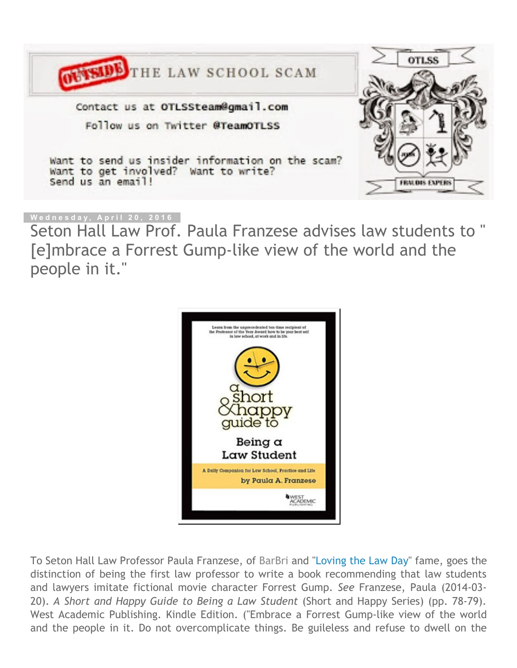

# **W e d n e s d a y , A p r i l 2 0 , 2 0 1 6**

Seton Hall Law Prof. Paula Franzese advises law students to " [e]mbrace a Forrest Gump‐like view of the world and the people in it."



To Seton Hall Law Professor Paula Franzese, of [BarBri](http://ow.ly/i/e1diJ/original) and ["Loving](http://outsidethelawschoolscam.blogspot.com/2015/03/love-in-time-of-scholara-featuring.html) the Law Day" fame, goes the distinction of being the first law professor to write a book recommending that law students and lawyers imitate fictional movie character Forrest Gump. *See* Franzese, Paula (2014‐03‐ 20). *A Short and Happy Guide to Being a Law Student* (Short and Happy Series) (pp. 78‐79). West Academic Publishing. Kindle Edition. ("Embrace a Forrest Gump-like view of the world and the people in it. Do not overcomplicate things. Be guileless and refuse to dwell on the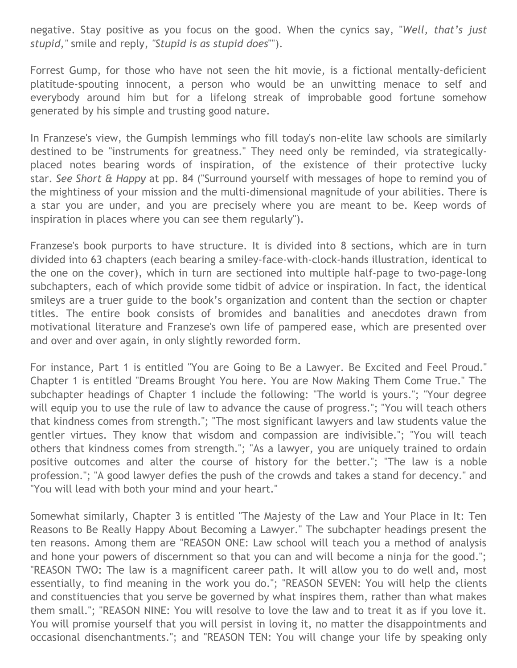negative. Stay positive as you focus on the good. When the cynics say, "*Well, that's just stupid,"* smile and reply, *"Stupid is as stupid does*"").

Forrest Gump, for those who have not seen the hit movie, is a fictional mentally‐deficient platitude‐spouting innocent, a person who would be an unwitting menace to self and everybody around him but for a lifelong streak of improbable good fortune somehow generated by his simple and trusting good nature.

In Franzese's view, the Gumpish lemmings who fill today's non-elite law schools are similarly destined to be "instruments for greatness." They need only be reminded, via strategically‐ placed notes bearing words of inspiration, of the existence of their protective lucky star. *See Short & Happy* at pp. 84 ("Surround yourself with messages of hope to remind you of the mightiness of your mission and the multi‐dimensional magnitude of your abilities. There is a star you are under, and you are precisely where you are meant to be. Keep words of inspiration in places where you can see them regularly").

Franzese's book purports to have structure. It is divided into 8 sections, which are in turn divided into 63 chapters (each bearing a smiley‐face‐with‐clock‐hands illustration, identical to the one on the cover), which in turn are sectioned into multiple half‐page to two‐page‐long subchapters, each of which provide some tidbit of advice or inspiration. In fact, the identical smileys are a truer guide to the book's organization and content than the section or chapter titles. The entire book consists of bromides and banalities and anecdotes drawn from motivational literature and Franzese's own life of pampered ease, which are presented over and over and over again, in only slightly reworded form.

For instance, Part 1 is entitled "You are Going to Be a Lawyer. Be Excited and Feel Proud." Chapter 1 is entitled "Dreams Brought You here. You are Now Making Them Come True." The subchapter headings of Chapter 1 include the following: "The world is yours."; "Your degree will equip you to use the rule of law to advance the cause of progress."; "You will teach others that kindness comes from strength."; "The most significant lawyers and law students value the gentler virtues. They know that wisdom and compassion are indivisible."; "You will teach others that kindness comes from strength."; "As a lawyer, you are uniquely trained to ordain positive outcomes and alter the course of history for the better."; "The law is a noble profession."; "A good lawyer defies the push of the crowds and takes a stand for decency." and "You will lead with both your mind and your heart."

Somewhat similarly, Chapter 3 is entitled "The Majesty of the Law and Your Place in It: Ten Reasons to Be Really Happy About Becoming a Lawyer." The subchapter headings present the ten reasons. Among them are "REASON ONE: Law school will teach you a method of analysis and hone your powers of discernment so that you can and will become a ninja for the good."; "REASON TWO: The law is a magnificent career path. It will allow you to do well and, most essentially, to find meaning in the work you do."; "REASON SEVEN: You will help the clients and constituencies that you serve be governed by what inspires them, rather than what makes them small."; "REASON NINE: You will resolve to love the law and to treat it as if you love it. You will promise yourself that you will persist in loving it, no matter the disappointments and occasional disenchantments."; and "REASON TEN: You will change your life by speaking only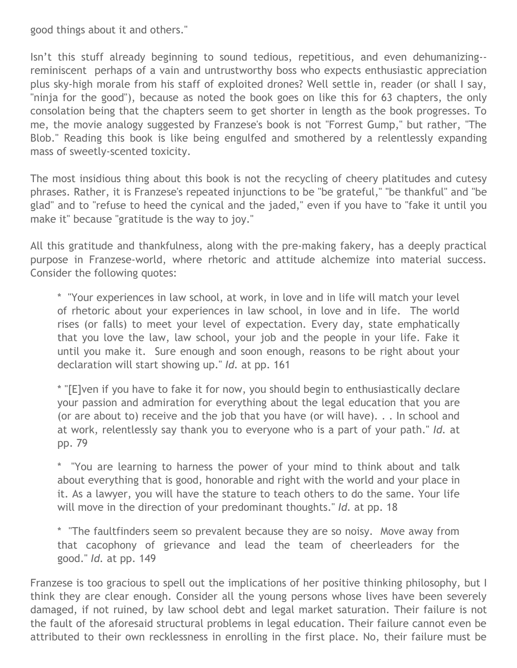good things about it and others."

Isn't this stuff already beginning to sound tedious, repetitious, and even dehumanizing‐‐ reminiscent perhaps of a vain and untrustworthy boss who expects enthusiastic appreciation plus sky‐high morale from his staff of exploited drones? Well settle in, reader (or shall I say, "ninja for the good"), because as noted the book goes on like this for 63 chapters, the only consolation being that the chapters seem to get shorter in length as the book progresses. To me, the movie analogy suggested by Franzese's book is not "Forrest Gump," but rather, "The Blob." Reading this book is like being engulfed and smothered by a relentlessly expanding mass of sweetly‐scented toxicity.

The most insidious thing about this book is not the recycling of cheery platitudes and cutesy phrases. Rather, it is Franzese's repeated injunctions to be "be grateful," "be thankful" and "be glad" and to "refuse to heed the cynical and the jaded," even if you have to "fake it until you make it" because "gratitude is the way to joy."

All this gratitude and thankfulness, along with the pre‐making fakery, has a deeply practical purpose in Franzese-world, where rhetoric and attitude alchemize into material success. Consider the following quotes:

\* "Your experiences in law school, at work, in love and in life will match your level of rhetoric about your experiences in law school, in love and in life. The world rises (or falls) to meet your level of expectation. Every day, state emphatically that you love the law, law school, your job and the people in your life. Fake it until you make it. Sure enough and soon enough, reasons to be right about your declaration will start showing up." *Id.* at pp. 161

\* "[E]ven if you have to fake it for now, you should begin to enthusiastically declare your passion and admiration for everything about the legal education that you are (or are about to) receive and the job that you have (or will have). . . In school and at work, relentlessly say thank you to everyone who is a part of your path." *Id.* at pp. 79

\* "You are learning to harness the power of your mind to think about and talk about everything that is good, honorable and right with the world and your place in it. As a lawyer, you will have the stature to teach others to do the same. Your life will move in the direction of your predominant thoughts." *Id.* at pp. 18

\* "The faultfinders seem so prevalent because they are so noisy. Move away from that cacophony of grievance and lead the team of cheerleaders for the good." *Id.* at pp. 149

Franzese is too gracious to spell out the implications of her positive thinking philosophy, but I think they are clear enough. Consider all the young persons whose lives have been severely damaged, if not ruined, by law school debt and legal market saturation. Their failure is not the fault of the aforesaid structural problems in legal education. Their failure cannot even be attributed to their own recklessness in enrolling in the first place. No, their failure must be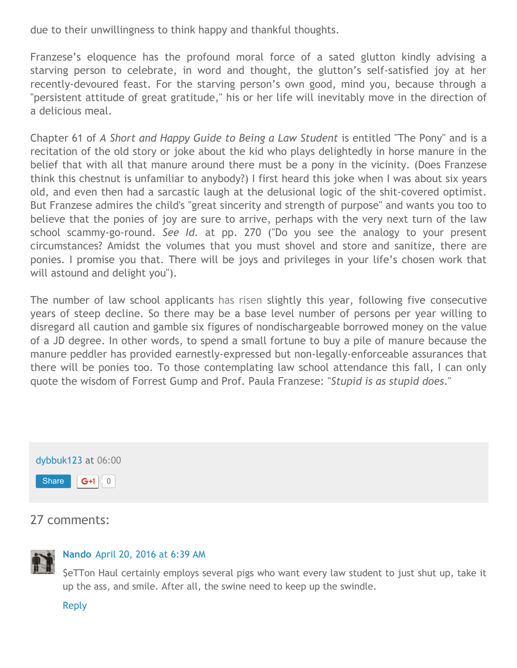due to their unwillingness to think happy and thankful thoughts.

Franzese's eloquence has the profound moral force of a sated glutton kindly advising a starving person to celebrate, in word and thought, the glutton's self‐satisfied joy at her recently-devoured feast. For the starving person's own good, mind you, because through a "persistent attitude of great gratitude," his or her life will inevitably move in the direction of a delicious meal.

Chapter 61 of *A Short and Happy Guide to Being a Law Student* is entitled "The Pony" and is a recitation of the old story or joke about the kid who plays delightedly in horse manure in the belief that with all that manure around there must be a pony in the vicinity. (Does Franzese think this chestnut is unfamiliar to anybody?) I first heard this joke when I was about six years old, and even then had a sarcastic laugh at the delusional logic of the shit‐covered optimist. But Franzese admires the child's "great sincerity and strength of purpose" and wants you too to believe that the ponies of joy are sure to arrive, perhaps with the very next turn of the law school scammy‐go‐round. *See Id.* at pp. 270 ("Do you see the analogy to your present circumstances? Amidst the volumes that you must shovel and store and sanitize, there are ponies. I promise you that. There will be joys and privileges in your life's chosen work that will astound and delight you").

The number of law school applicants has [risen](http://www.lsac.org/lsacresources/data/three-year-volume) slightly this year, following five consecutive years of steep decline. So there may be a base level number of persons per year willing to disregard all caution and gamble six figures of nondischargeable borrowed money on the value of a JD degree. In other words, to spend a small fortune to buy a pile of manure because the manure peddler has provided earnestly‐expressed but non‐legally‐enforceable assurances that there will be ponies too. To those contemplating law school attendance this fall, I can only quote the wisdom of Forrest Gump and Prof. Paula Franzese: "*Stupid is as stupid does*."



# 27 comments:



# **[Nando](https://www.blogger.com/profile/06423524039657355134)** [April](http://outsidethelawschoolscam.blogspot.com/2016/04/seton-hall-law-prof-paula-franzese.html?showComment=1461155943928&m=1#c8180076768643111850) 20, 2016 at 6:39 AM

\$eTTon Haul certainly employs several pigs who want every law student to just shut up, take it up the ass, and smile. After all, the swine need to keep up the swindle.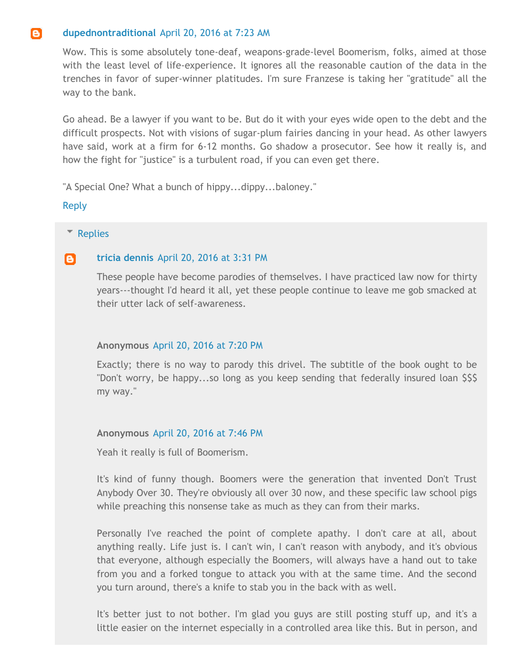#### e) **[dupednontraditional](https://www.blogger.com/profile/04170022654810216357)** April 20, [2016](http://outsidethelawschoolscam.blogspot.com/2016/04/seton-hall-law-prof-paula-franzese.html?showComment=1461158600180&m=1#c9200770069526806362) at 7:23 AM

Wow. This is some absolutely tone‐deaf, weapons‐grade‐level Boomerism, folks, aimed at those with the least level of life‐experience. It ignores all the reasonable caution of the data in the trenches in favor of super‐winner platitudes. I'm sure Franzese is taking her "gratitude" all the way to the bank.

Go ahead. Be a lawyer if you want to be. But do it with your eyes wide open to the debt and the difficult prospects. Not with visions of sugar‐plum fairies dancing in your head. As other lawyers have said, work at a firm for 6-12 months. Go shadow a prosecutor. See how it really is, and how the fight for "justice" is a turbulent road, if you can even get there.

"A Special One? What a bunch of hippy...dippy...baloney."

[Reply](javascript:;)

# **[Replies](javascript:;)**

#### le l **tricia [dennis](https://www.blogger.com/profile/01659995537790248686)** [April](http://outsidethelawschoolscam.blogspot.com/2016/04/seton-hall-law-prof-paula-franzese.html?showComment=1461187904189&m=1#c43042499376166513) 20, 2016 at 3:31 PM

These people have become parodies of themselves. I have practiced law now for thirty years‐‐‐thought I'd heard it all, yet these people continue to leave me gob smacked at their utter lack of self‐awareness.

# **Anonymous** April 20, [2016](http://outsidethelawschoolscam.blogspot.com/2016/04/seton-hall-law-prof-paula-franzese.html?showComment=1461201656682&m=1#c1572379341411452949) at 7:20 PM

Exactly; there is no way to parody this drivel. The subtitle of the book ought to be "Don't worry, be happy...so long as you keep sending that federally insured loan \$\$\$ my way."

# **Anonymous** April 20, [2016](http://outsidethelawschoolscam.blogspot.com/2016/04/seton-hall-law-prof-paula-franzese.html?showComment=1461203165386&m=1#c1678200696633802438) at 7:46 PM

Yeah it really is full of Boomerism.

It's kind of funny though. Boomers were the generation that invented Don't Trust Anybody Over 30. They're obviously all over 30 now, and these specific law school pigs while preaching this nonsense take as much as they can from their marks.

Personally I've reached the point of complete apathy. I don't care at all, about anything really. Life just is. I can't win, I can't reason with anybody, and it's obvious that everyone, although especially the Boomers, will always have a hand out to take from you and a forked tongue to attack you with at the same time. And the second you turn around, there's a knife to stab you in the back with as well.

It's better just to not bother. I'm glad you guys are still posting stuff up, and it's a little easier on the internet especially in a controlled area like this. But in person, and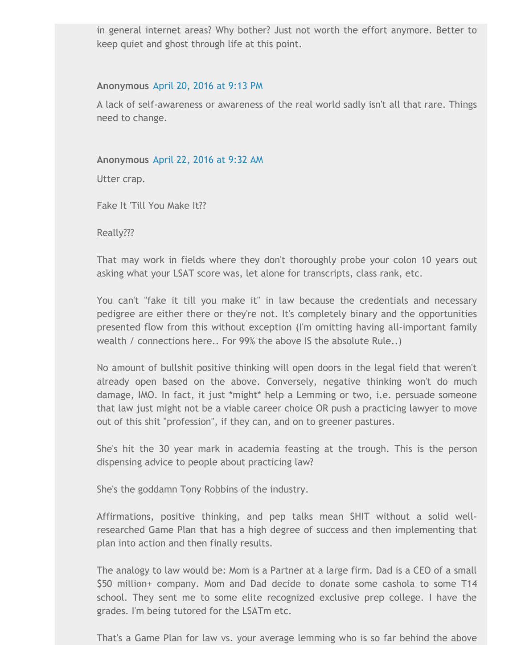in general internet areas? Why bother? Just not worth the effort anymore. Better to keep quiet and ghost through life at this point.

# **Anonymous** April 20, [2016](http://outsidethelawschoolscam.blogspot.com/2016/04/seton-hall-law-prof-paula-franzese.html?showComment=1461208395576&m=1#c6807258478256722091) at 9:13 PM

A lack of self‐awareness or awareness of the real world sadly isn't all that rare. Things need to change.

# **Anonymous** April 22, [2016](http://outsidethelawschoolscam.blogspot.com/2016/04/seton-hall-law-prof-paula-franzese.html?showComment=1461339163871&m=1#c5438690679250024521) at 9:32 AM

Utter crap.

Fake It 'Till You Make It??

Really???

That may work in fields where they don't thoroughly probe your colon 10 years out asking what your LSAT score was, let alone for transcripts, class rank, etc.

You can't "fake it till you make it" in law because the credentials and necessary pedigree are either there or they're not. It's completely binary and the opportunities presented flow from this without exception (I'm omitting having all‐important family wealth / connections here.. For 99% the above IS the absolute Rule..)

No amount of bullshit positive thinking will open doors in the legal field that weren't already open based on the above. Conversely, negative thinking won't do much damage, IMO. In fact, it just \*might\* help a Lemming or two, i.e. persuade someone that law just might not be a viable career choice OR push a practicing lawyer to move out of this shit "profession", if they can, and on to greener pastures.

She's hit the 30 year mark in academia feasting at the trough. This is the person dispensing advice to people about practicing law?

She's the goddamn Tony Robbins of the industry.

Affirmations, positive thinking, and pep talks mean SHIT without a solid well‐ researched Game Plan that has a high degree of success and then implementing that plan into action and then finally results.

The analogy to law would be: Mom is a Partner at a large firm. Dad is a CEO of a small \$50 million+ company. Mom and Dad decide to donate some cashola to some T14 school. They sent me to some elite recognized exclusive prep college. I have the grades. I'm being tutored for the LSATm etc.

That's a Game Plan for law vs. your average lemming who is so far behind the above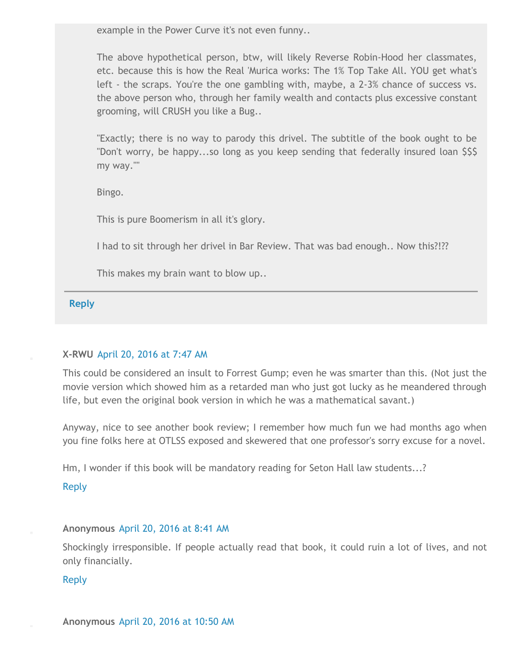example in the Power Curve it's not even funny..

The above hypothetical person, btw, will likely Reverse Robin‐Hood her classmates, etc. because this is how the Real 'Murica works: The 1% Top Take All. YOU get what's left ‐ the scraps. You're the one gambling with, maybe, a 2‐3% chance of success vs. the above person who, through her family wealth and contacts plus excessive constant grooming, will CRUSH you like a Bug..

"Exactly; there is no way to parody this drivel. The subtitle of the book ought to be "Don't worry, be happy...so long as you keep sending that federally insured loan \$\$\$ my way.""

Bingo.

This is pure Boomerism in all it's glory.

I had to sit through her drivel in Bar Review. That was bad enough.. Now this?!??

This makes my brain want to blow up..

**[Reply](javascript:;)**

# **X‐RWU** [April](http://outsidethelawschoolscam.blogspot.com/2016/04/seton-hall-law-prof-paula-franzese.html?showComment=1461160046461&m=1#c5745285622601809777) 20, 2016 at 7:47 AM

This could be considered an insult to Forrest Gump; even he was smarter than this. (Not just the movie version which showed him as a retarded man who just got lucky as he meandered through life, but even the original book version in which he was a mathematical savant.)

Anyway, nice to see another book review; I remember how much fun we had months ago when you fine folks here at OTLSS exposed and skewered that one professor's sorry excuse for a novel.

Hm, I wonder if this book will be mandatory reading for Seton Hall law students...?

# [Reply](javascript:;)

# **Anonymous** [April](http://outsidethelawschoolscam.blogspot.com/2016/04/seton-hall-law-prof-paula-franzese.html?showComment=1461163302720&m=1#c2641896915187139206) 20, 2016 at 8:41 AM

Shockingly irresponsible. If people actually read that book, it could ruin a lot of lives, and not only financially.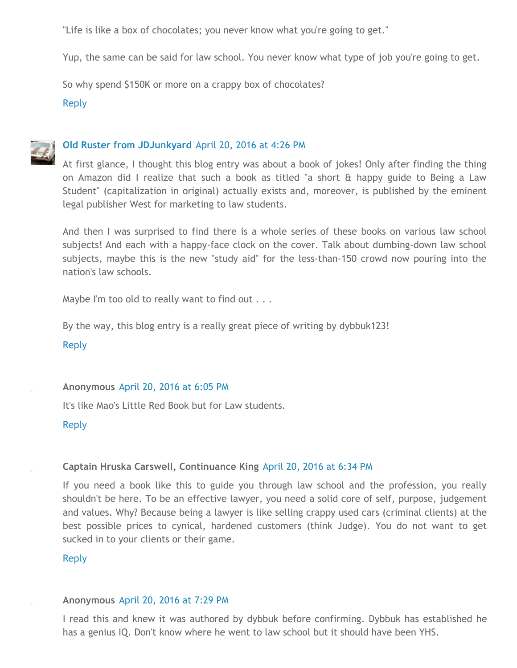"Life is like a box of chocolates; you never know what you're going to get."

Yup, the same can be said for law school. You never know what type of job you're going to get.

So why spend \$150K or more on a crappy box of chocolates?

[Reply](javascript:;)



### **Old Ruster from [JDJunkyard](https://www.blogger.com/profile/17599010650047438263)** [April](http://outsidethelawschoolscam.blogspot.com/2016/04/seton-hall-law-prof-paula-franzese.html?showComment=1461191194778&m=1#c7291178347065415816) 20, 2016 at 4:26 PM

At first glance, I thought this blog entry was about a book of jokes! Only after finding the thing on Amazon did I realize that such a book as titled "a short & happy guide to Being a Law Student" (capitalization in original) actually exists and, moreover, is published by the eminent legal publisher West for marketing to law students.

And then I was surprised to find there is a whole series of these books on various law school subjects! And each with a happy-face clock on the cover. Talk about dumbing-down law school subjects, maybe this is the new "study aid" for the less-than-150 crowd now pouring into the nation's law schools.

Maybe I'm too old to really want to find out . . .

By the way, this blog entry is a really great piece of writing by dybbuk123!

[Reply](javascript:;)

#### **Anonymous** [April](http://outsidethelawschoolscam.blogspot.com/2016/04/seton-hall-law-prof-paula-franzese.html?showComment=1461197144013&m=1#c4772018743339907752) 20, 2016 at 6:05 PM

It's like Mao's Little Red Book but for Law students.

[Reply](javascript:;)

#### **Captain Hruska Carswell, Continuance King** [April](http://outsidethelawschoolscam.blogspot.com/2016/04/seton-hall-law-prof-paula-franzese.html?showComment=1461198852027&m=1#c7591440437938122518) 20, 2016 at 6:34 PM

If you need a book like this to guide you through law school and the profession, you really shouldn't be here. To be an effective lawyer, you need a solid core of self, purpose, judgement and values. Why? Because being a lawyer is like selling crappy used cars (criminal clients) at the best possible prices to cynical, hardened customers (think Judge). You do not want to get sucked in to your clients or their game.

#### [Reply](javascript:;)

#### **Anonymous** [April](http://outsidethelawschoolscam.blogspot.com/2016/04/seton-hall-law-prof-paula-franzese.html?showComment=1461202159260&m=1#c5915705944168405807) 20, 2016 at 7:29 PM

I read this and knew it was authored by dybbuk before confirming. Dybbuk has established he has a genius IQ. Don't know where he went to law school but it should have been YHS.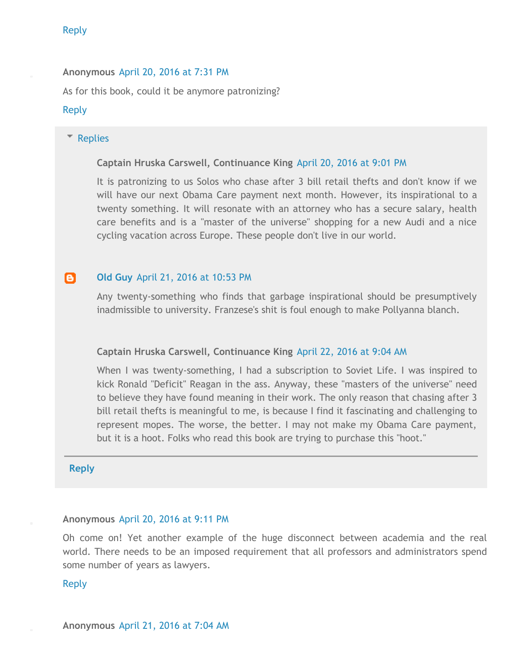### [Reply](javascript:;)

**Anonymous** [April](http://outsidethelawschoolscam.blogspot.com/2016/04/seton-hall-law-prof-paula-franzese.html?showComment=1461202267995&m=1#c2165107734707517431) 20, 2016 at 7:31 PM As for this book, could it be anymore patronizing?

### [Reply](javascript:;)

#### **[Replies](javascript:;)**

#### **Captain Hruska Carswell, Continuance King** [April](http://outsidethelawschoolscam.blogspot.com/2016/04/seton-hall-law-prof-paula-franzese.html?showComment=1461207663565&m=1#c2955093859049122828) 20, 2016 at 9:01 PM

It is patronizing to us Solos who chase after 3 bill retail thefts and don't know if we will have our next Obama Care payment next month. However, its inspirational to a twenty something. It will resonate with an attorney who has a secure salary, health care benefits and is a "master of the universe" shopping for a new Audi and a nice cycling vacation across Europe. These people don't live in our world.

#### e. **Old [Guy](https://www.blogger.com/profile/02399124824529778710)** April 21, 2016 at [10:53](http://outsidethelawschoolscam.blogspot.com/2016/04/seton-hall-law-prof-paula-franzese.html?showComment=1461300791032&m=1#c2113067681716970719) PM

Any twenty‐something who finds that garbage inspirational should be presumptively inadmissible to university. Franzese's shit is foul enough to make Pollyanna blanch.

#### **Captain Hruska Carswell, Continuance King** [April](http://outsidethelawschoolscam.blogspot.com/2016/04/seton-hall-law-prof-paula-franzese.html?showComment=1461337466300&m=1#c70348901152020103) 22, 2016 at 9:04 AM

When I was twenty-something, I had a subscription to Soviet Life. I was inspired to kick Ronald "Deficit" Reagan in the ass. Anyway, these "masters of the universe" need to believe they have found meaning in their work. The only reason that chasing after 3 bill retail thefts is meaningful to me, is because I find it fascinating and challenging to represent mopes. The worse, the better. I may not make my Obama Care payment, but it is a hoot. Folks who read this book are trying to purchase this "hoot."

**[Reply](javascript:;)**

#### **Anonymous** [April](http://outsidethelawschoolscam.blogspot.com/2016/04/seton-hall-law-prof-paula-franzese.html?showComment=1461208271331&m=1#c4267454102994409856) 20, 2016 at 9:11 PM

Oh come on! Yet another example of the huge disconnect between academia and the real world. There needs to be an imposed requirement that all professors and administrators spend some number of years as lawyers.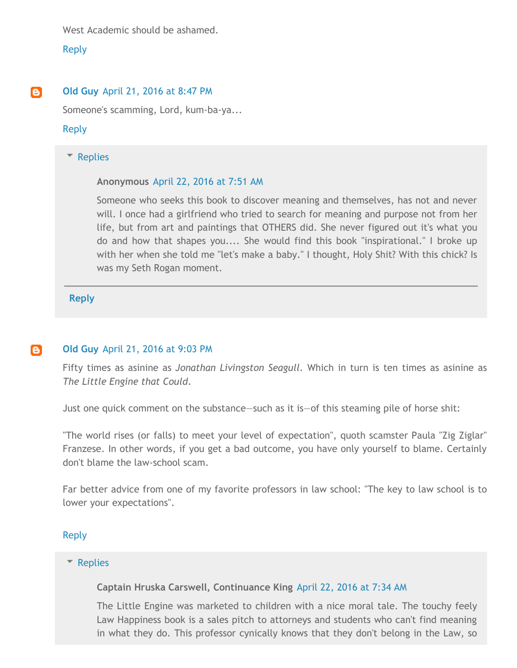West Academic should be ashamed.

[Reply](javascript:;)

#### e. **Old [Guy](https://www.blogger.com/profile/02399124824529778710)** April 21, [2016](http://outsidethelawschoolscam.blogspot.com/2016/04/seton-hall-law-prof-paula-franzese.html?showComment=1461293261695&m=1#c3757858942875954199) at 8:47 PM

Someone's scamming, Lord, kum‐ba‐ya...

#### [Reply](javascript:;)

#### **[Replies](javascript:;)**

#### **Anonymous** April 22, [2016](http://outsidethelawschoolscam.blogspot.com/2016/04/seton-hall-law-prof-paula-franzese.html?showComment=1461333065478&m=1#c6810370411934368780) at 7:51 AM

Someone who seeks this book to discover meaning and themselves, has not and never will. I once had a girlfriend who tried to search for meaning and purpose not from her life, but from art and paintings that OTHERS did. She never figured out it's what you do and how that shapes you.... She would find this book "inspirational." I broke up with her when she told me "let's make a baby." I thought, Holy Shit? With this chick? Is was my Seth Rogan moment.

**[Reply](javascript:;)**

#### **Old [Guy](https://www.blogger.com/profile/02399124824529778710)** April 21, [2016](http://outsidethelawschoolscam.blogspot.com/2016/04/seton-hall-law-prof-paula-franzese.html?showComment=1461294218527&m=1#c4610433689287177315) at 9:03 PM e.

Fifty times as asinine as *Jonathan Livingston Seagull*. Which in turn is ten times as asinine as *The Little Engine that Could*.

Just one quick comment on the substance—such as it is—of this steaming pile of horse shit:

"The world rises (or falls) to meet your level of expectation", quoth scamster Paula "Zig Ziglar" Franzese. In other words, if you get a bad outcome, you have only yourself to blame. Certainly don't blame the law‐school scam.

Far better advice from one of my favorite professors in law school: "The key to law school is to lower your expectations".

#### [Reply](javascript:;)

#### ▼ [Replies](javascript:;)

**Captain Hruska Carswell, Continuance King** [April](http://outsidethelawschoolscam.blogspot.com/2016/04/seton-hall-law-prof-paula-franzese.html?showComment=1461332099663&m=1#c5645261619011315833) 22, 2016 at 7:34 AM

The Little Engine was marketed to children with a nice moral tale. The touchy feely Law Happiness book is a sales pitch to attorneys and students who can't find meaning in what they do. This professor cynically knows that they don't belong in the Law, so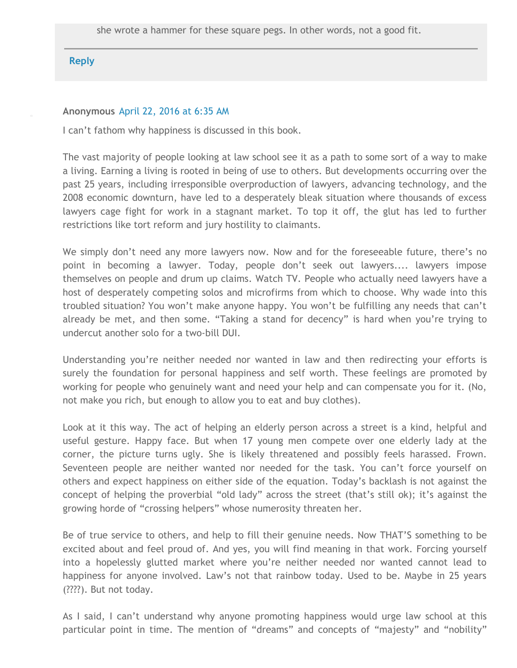# **[Reply](javascript:;)**

### **Anonymous** [April](http://outsidethelawschoolscam.blogspot.com/2016/04/seton-hall-law-prof-paula-franzese.html?showComment=1461328503710&m=1#c41671506424584433) 22, 2016 at 6:35 AM

I can't fathom why happiness is discussed in this book.

The vast majority of people looking at law school see it as a path to some sort of a way to make a living. Earning a living is rooted in being of use to others. But developments occurring over the past 25 years, including irresponsible overproduction of lawyers, advancing technology, and the 2008 economic downturn, have led to a desperately bleak situation where thousands of excess lawyers cage fight for work in a stagnant market. To top it off, the glut has led to further restrictions like tort reform and jury hostility to claimants.

We simply don't need any more lawyers now. Now and for the foreseeable future, there's no point in becoming a lawyer. Today, people don't seek out lawyers.... lawyers impose themselves on people and drum up claims. Watch TV. People who actually need lawyers have a host of desperately competing solos and microfirms from which to choose. Why wade into this troubled situation? You won't make anyone happy. You won't be fulfilling any needs that can't already be met, and then some. "Taking a stand for decency" is hard when you're trying to undercut another solo for a two‐bill DUI.

Understanding you're neither needed nor wanted in law and then redirecting your efforts is surely the foundation for personal happiness and self worth. These feelings are promoted by working for people who genuinely want and need your help and can compensate you for it. (No, not make you rich, but enough to allow you to eat and buy clothes).

Look at it this way. The act of helping an elderly person across a street is a kind, helpful and useful gesture. Happy face. But when 17 young men compete over one elderly lady at the corner, the picture turns ugly. She is likely threatened and possibly feels harassed. Frown. Seventeen people are neither wanted nor needed for the task. You can't force yourself on others and expect happiness on either side of the equation. Today's backlash is not against the concept of helping the proverbial "old lady" across the street (that's still ok); it's against the growing horde of "crossing helpers" whose numerosity threaten her.

Be of true service to others, and help to fill their genuine needs. Now THAT'S something to be excited about and feel proud of. And yes, you will find meaning in that work. Forcing yourself into a hopelessly glutted market where you're neither needed nor wanted cannot lead to happiness for anyone involved. Law's not that rainbow today. Used to be. Maybe in 25 years (????). But not today.

As I said, I can't understand why anyone promoting happiness would urge law school at this particular point in time. The mention of "dreams" and concepts of "majesty" and "nobility"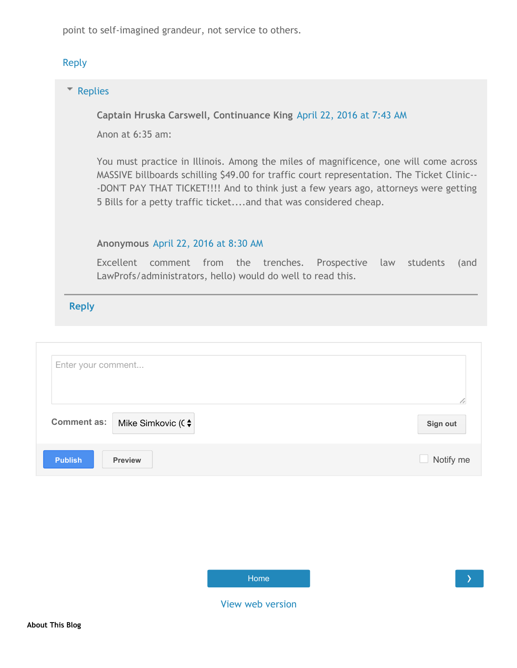point to self‐imagined grandeur, not service to others.

# [Reply](javascript:;)

### **[Replies](javascript:;)**

**Captain Hruska Carswell, Continuance King** [April](http://outsidethelawschoolscam.blogspot.com/2016/04/seton-hall-law-prof-paula-franzese.html?showComment=1461332626443&m=1#c7930084896428925909) 22, 2016 at 7:43 AM

Anon at 6:35 am:

You must practice in Illinois. Among the miles of magnificence, one will come across MASSIVE billboards schilling \$49.00 for traffic court representation. The Ticket Clinic‐‐ ‐DON'T PAY THAT TICKET!!!! And to think just a few years ago, attorneys were getting 5 Bills for a petty traffic ticket....and that was considered cheap.

#### **Anonymous** April 22, [2016](http://outsidethelawschoolscam.blogspot.com/2016/04/seton-hall-law-prof-paula-franzese.html?showComment=1461335432119&m=1#c2539369240459164226) at 8:30 AM

Excellent comment from the trenches. Prospective law students (and LawProfs/administrators, hello) would do well to read this.

| Enter your comment                          |           |
|---------------------------------------------|-----------|
| Comment as:   Mike Simkovic (C $\triangleq$ | Sign out  |
| <b>Publish</b><br><b>Preview</b>            | Notify me |

| Home |
|------|
|      |

View web [version](http://outsidethelawschoolscam.blogspot.com/2016/04/seton-hall-law-prof-paula-franzese.html?m=0)